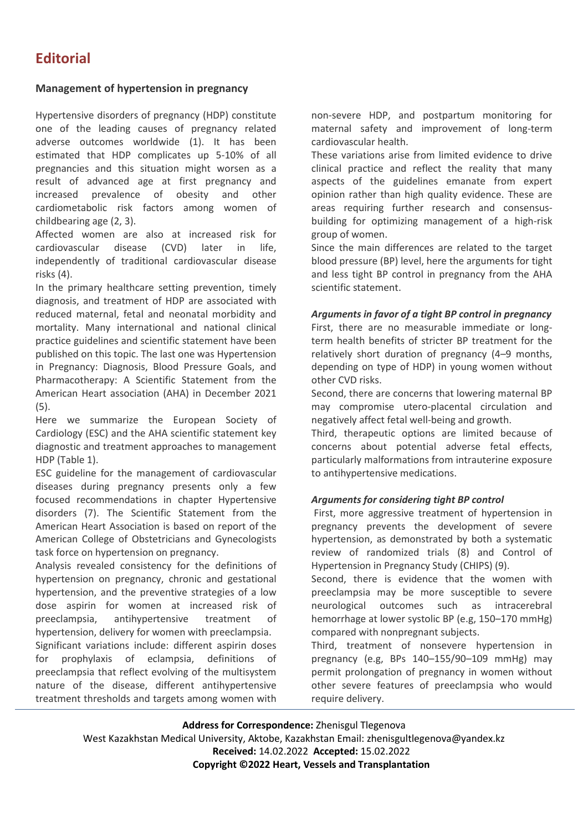## **Management of hypertension in pregnancy**

Hypertensive disorders of pregnancy (HDP) constitute one of the leading causes of pregnancy related adverse outcomes worldwide (1). It has been estimated that HDP complicates up 5-10% of all pregnancies and this situation might worsen as a result of advanced age at first pregnancy and increased prevalence of obesity and other cardiometabolic risk factors among women of childbearing age (2, 3).

Affected women are also at increased risk for cardiovascular disease (CVD) later in life, independently of traditional cardiovascular disease risks (4).

In the primary healthcare setting prevention, timely diagnosis, and treatment of HDP are associated with reduced maternal, fetal and neonatal morbidity and mortality. Many international and national clinical practice guidelines and scientific statement have been published on this topic. The last one was Hypertension in Pregnancy: Diagnosis, Blood Pressure Goals, and Pharmacotherapy: A Scientific Statement from the American Heart association (AHA) in December 2021 (5).

Here we summarize the European Society of Cardiology (ESC) and the AHA scientific statement key diagnostic and treatment approaches to management HDP (Table 1).

ESC guideline for the management of cardiovascular diseases during pregnancy presents only a few focused recommendations in chapter Hypertensive disorders (7). The Scientific Statement from the American Heart Association is based on report of the American College of Obstetricians and Gynecologists task force on hypertension on pregnancy.

Analysis revealed consistency for the definitions of hypertension on pregnancy, chronic and gestational hypertension, and the preventive strategies of a low dose aspirin for women at increased risk of preeclampsia, antihypertensive treatment of hypertension, delivery for women with preeclampsia.

Significant variations include: different aspirin doses for prophylaxis of eclampsia, definitions of preeclampsia that reflect evolving of the multisystem nature of the disease, different antihypertensive treatment thresholds and targets among women with

non-severe HDP, and postpartum monitoring for maternal safety and improvement of long-term cardiovascular health.

These variations arise from limited evidence to drive clinical practice and reflect the reality that many aspects of the guidelines emanate from expert opinion rather than high quality evidence. These are areas requiring further research and consensusbuilding for optimizing management of a high-risk group of women.

Since the main differences are related to the target blood pressure (BP) level, here the arguments for tight and less tight BP control in pregnancy from the AHA scientific statement.

## *Arguments in favor of a tight BP control in pregnancy*

First, there are no measurable immediate or longterm health benefits of stricter BP treatment for the relatively short duration of pregnancy (4–9 months, depending on type of HDP) in young women without other CVD risks.

Second, there are concerns that lowering maternal BP may compromise utero-placental circulation and negatively affect fetal well-being and growth.

Third, therapeutic options are limited because of concerns about potential adverse fetal effects, particularly malformations from intrauterine exposure to antihypertensive medications.

## *Arguments for considering tight BP control*

First, more aggressive treatment of hypertension in pregnancy prevents the development of severe hypertension, as demonstrated by both a systematic review of randomized trials (8) and Control of Hypertension in Pregnancy Study (CHIPS) (9).

Second, there is evidence that the women with preeclampsia may be more susceptible to severe neurological outcomes such as intracerebral hemorrhage at lower systolic BP (e.g, 150–170 mmHg) compared with nonpregnant subjects.

Third, treatment of nonsevere hypertension in pregnancy (e.g, BPs 140–155/90–109 mmHg) may permit prolongation of pregnancy in women without other severe features of preeclampsia who would require delivery.

**Address for Correspondence:** Zhenisgul Tlegenova

West Kazakhstan Medical University, Aktobe, Kazakhstan Email: zhenisgultlegenova@yandex.kz **Received:** 14.02.2022 **Accepted:** 15.02.2022

**Copyright ©2022 Heart, Vessels and Transplantation**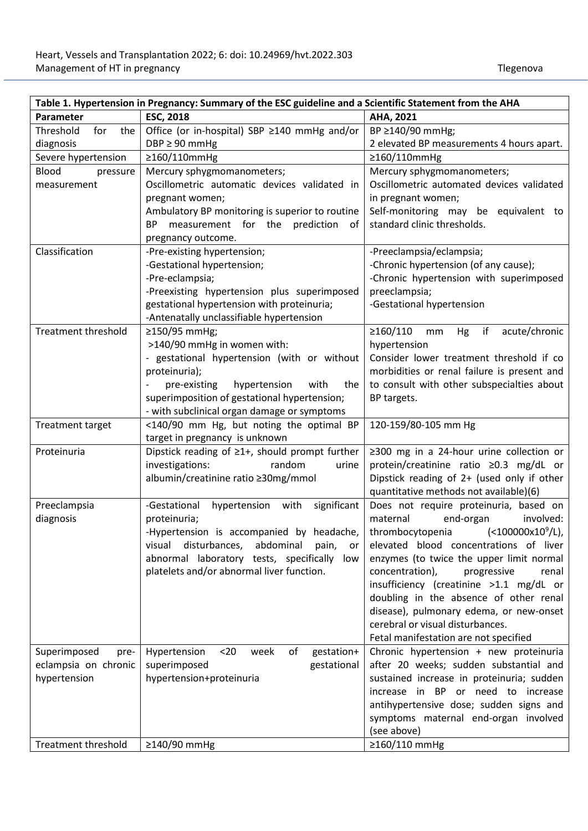| Table 1. Hypertension in Pregnancy: Summary of the ESC guideline and a Scientific Statement from the AHA |                                                       |                                                |  |
|----------------------------------------------------------------------------------------------------------|-------------------------------------------------------|------------------------------------------------|--|
| Parameter                                                                                                | <b>ESC, 2018</b>                                      | AHA, 2021                                      |  |
| Threshold<br>for<br>the                                                                                  | Office (or in-hospital) SBP ≥140 mmHg and/or          | BP ≥140/90 mmHg;                               |  |
| diagnosis                                                                                                | $DBP \geq 90$ mmHg                                    | 2 elevated BP measurements 4 hours apart.      |  |
| Severe hypertension                                                                                      | ≥160/110mmHg                                          | ≥160/110mmHg                                   |  |
| <b>Blood</b><br>pressure                                                                                 | Mercury sphygmomanometers;                            | Mercury sphygmomanometers;                     |  |
| measurement                                                                                              | Oscillometric automatic devices validated in          | Oscillometric automated devices validated      |  |
|                                                                                                          | pregnant women;                                       | in pregnant women;                             |  |
|                                                                                                          | Ambulatory BP monitoring is superior to routine       | Self-monitoring may be equivalent to           |  |
|                                                                                                          | measurement for the prediction<br>BP<br>0f            | standard clinic thresholds.                    |  |
|                                                                                                          | pregnancy outcome.                                    |                                                |  |
| Classification                                                                                           | -Pre-existing hypertension;                           | -Preeclampsia/eclampsia;                       |  |
|                                                                                                          | -Gestational hypertension;                            | -Chronic hypertension (of any cause);          |  |
|                                                                                                          | -Pre-eclampsia;                                       | -Chronic hypertension with superimposed        |  |
|                                                                                                          | -Preexisting hypertension plus superimposed           | preeclampsia;                                  |  |
|                                                                                                          | gestational hypertension with proteinuria;            | -Gestational hypertension                      |  |
|                                                                                                          | -Antenatally unclassifiable hypertension              |                                                |  |
| <b>Treatment threshold</b>                                                                               | ≥150/95 mmHg;                                         | $≥160/110$<br>if<br>acute/chronic<br>Hg<br>mm  |  |
|                                                                                                          | >140/90 mmHg in women with:                           | hypertension                                   |  |
|                                                                                                          | - gestational hypertension (with or without           | Consider lower treatment threshold if co       |  |
|                                                                                                          | proteinuria);                                         | morbidities or renal failure is present and    |  |
|                                                                                                          | pre-existing<br>hypertension<br>with<br>the           | to consult with other subspecialties about     |  |
|                                                                                                          | superimposition of gestational hypertension;          | BP targets.                                    |  |
|                                                                                                          | - with subclinical organ damage or symptoms           |                                                |  |
| <b>Treatment target</b>                                                                                  | <140/90 mm Hg, but noting the optimal BP              | 120-159/80-105 mm Hg                           |  |
|                                                                                                          | target in pregnancy is unknown                        |                                                |  |
| Proteinuria                                                                                              | Dipstick reading of $\geq 1+$ , should prompt further | $\geq$ 300 mg in a 24-hour urine collection or |  |
|                                                                                                          | investigations:<br>random<br>urine                    | protein/creatinine ratio ≥0.3 mg/dL or         |  |
|                                                                                                          | albumin/creatinine ratio ≥30mg/mmol                   | Dipstick reading of 2+ (used only if other     |  |
|                                                                                                          |                                                       | quantitative methods not available)(6)         |  |
| Preeclampsia                                                                                             | -Gestational<br>hypertension with<br>significant      | Does not require proteinuria, based on         |  |
| diagnosis                                                                                                | proteinuria;                                          | maternal<br>end-organ<br>involved:             |  |
|                                                                                                          | -Hypertension is accompanied by headache,             | $(<100000x10^9/L)$ ,<br>thrombocytopenia       |  |
|                                                                                                          | disturbances,<br>abdominal<br>visual<br>pain,<br>or   | elevated blood concentrations of liver         |  |
|                                                                                                          | abnormal laboratory tests, specifically<br>low        | enzymes (to twice the upper limit normal       |  |
|                                                                                                          | platelets and/or abnormal liver function.             | concentration),<br>progressive<br>renal        |  |
|                                                                                                          |                                                       | insufficiency (creatinine >1.1 mg/dL or        |  |
|                                                                                                          |                                                       | doubling in the absence of other renal         |  |
|                                                                                                          |                                                       | disease), pulmonary edema, or new-onset        |  |
|                                                                                                          |                                                       | cerebral or visual disturbances.               |  |
|                                                                                                          |                                                       | Fetal manifestation are not specified          |  |
| Superimposed<br>pre-                                                                                     | gestation+<br>Hypertension<br>$20$<br>week<br>of      | Chronic hypertension + new proteinuria         |  |
| eclampsia on chronic                                                                                     | superimposed<br>gestational                           | after 20 weeks; sudden substantial and         |  |
| hypertension                                                                                             | hypertension+proteinuria                              | sustained increase in proteinuria; sudden      |  |
|                                                                                                          |                                                       | increase in BP or need to increase             |  |
|                                                                                                          |                                                       | antihypertensive dose; sudden signs and        |  |
|                                                                                                          |                                                       | symptoms maternal end-organ involved           |  |
|                                                                                                          |                                                       | (see above)                                    |  |
| <b>Treatment threshold</b>                                                                               | ≥140/90 mmHg                                          | ≥160/110 mmHg                                  |  |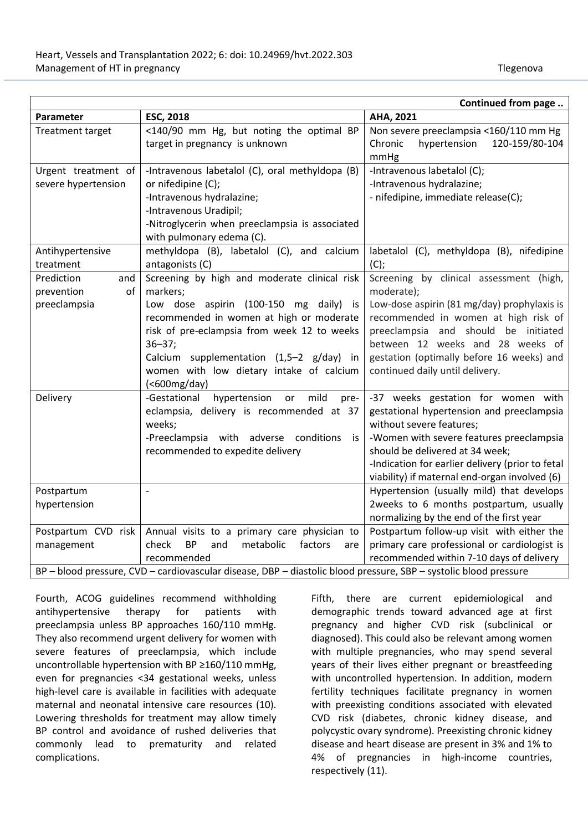| <b>ESC, 2018</b><br>AHA, 2021<br>Parameter<br><b>Treatment target</b><br><140/90 mm Hg, but noting the optimal BP<br>Non severe preeclampsia <160/110 mm Hg<br>120-159/80-104<br>target in pregnancy is unknown<br>Chronic<br>hypertension<br>mmHg<br>-Intravenous labetalol (C), oral methyldopa (B)<br>-Intravenous labetalol (C);<br>Urgent treatment of<br>severe hypertension<br>or nifedipine (C);<br>-Intravenous hydralazine;<br>- nifedipine, immediate release(C);<br>-Intravenous hydralazine;<br>-Intravenous Uradipil;<br>-Nitroglycerin when preeclampsia is associated | Continued from page |                           |  |
|---------------------------------------------------------------------------------------------------------------------------------------------------------------------------------------------------------------------------------------------------------------------------------------------------------------------------------------------------------------------------------------------------------------------------------------------------------------------------------------------------------------------------------------------------------------------------------------|---------------------|---------------------------|--|
|                                                                                                                                                                                                                                                                                                                                                                                                                                                                                                                                                                                       |                     |                           |  |
|                                                                                                                                                                                                                                                                                                                                                                                                                                                                                                                                                                                       |                     |                           |  |
|                                                                                                                                                                                                                                                                                                                                                                                                                                                                                                                                                                                       |                     |                           |  |
|                                                                                                                                                                                                                                                                                                                                                                                                                                                                                                                                                                                       |                     |                           |  |
|                                                                                                                                                                                                                                                                                                                                                                                                                                                                                                                                                                                       |                     |                           |  |
|                                                                                                                                                                                                                                                                                                                                                                                                                                                                                                                                                                                       |                     |                           |  |
|                                                                                                                                                                                                                                                                                                                                                                                                                                                                                                                                                                                       |                     |                           |  |
|                                                                                                                                                                                                                                                                                                                                                                                                                                                                                                                                                                                       |                     |                           |  |
|                                                                                                                                                                                                                                                                                                                                                                                                                                                                                                                                                                                       |                     |                           |  |
|                                                                                                                                                                                                                                                                                                                                                                                                                                                                                                                                                                                       |                     | with pulmonary edema (C). |  |
| methyldopa (B), labetalol (C), and calcium<br>labetalol (C), methyldopa (B), nifedipine<br>Antihypertensive                                                                                                                                                                                                                                                                                                                                                                                                                                                                           |                     |                           |  |
| $(C)$ ;<br>treatment<br>antagonists (C)                                                                                                                                                                                                                                                                                                                                                                                                                                                                                                                                               |                     |                           |  |
| Screening by clinical assessment (high,<br>Screening by high and moderate clinical risk<br>Prediction<br>and                                                                                                                                                                                                                                                                                                                                                                                                                                                                          |                     |                           |  |
| markers;<br>moderate);<br>prevention<br>of                                                                                                                                                                                                                                                                                                                                                                                                                                                                                                                                            |                     |                           |  |
| preeclampsia<br>Low dose aspirin (100-150 mg daily) is<br>Low-dose aspirin (81 mg/day) prophylaxis is                                                                                                                                                                                                                                                                                                                                                                                                                                                                                 |                     |                           |  |
| recommended in women at high or moderate<br>recommended in women at high risk of                                                                                                                                                                                                                                                                                                                                                                                                                                                                                                      |                     |                           |  |
| risk of pre-eclampsia from week 12 to weeks<br>preeclampsia and should be initiated                                                                                                                                                                                                                                                                                                                                                                                                                                                                                                   |                     |                           |  |
| between 12 weeks and 28 weeks of<br>$36 - 37;$                                                                                                                                                                                                                                                                                                                                                                                                                                                                                                                                        |                     |                           |  |
| gestation (optimally before 16 weeks) and<br>Calcium supplementation (1,5-2 g/day) in                                                                                                                                                                                                                                                                                                                                                                                                                                                                                                 |                     |                           |  |
| women with low dietary intake of calcium<br>continued daily until delivery.                                                                                                                                                                                                                                                                                                                                                                                                                                                                                                           |                     |                           |  |
| $(600mg/day)$                                                                                                                                                                                                                                                                                                                                                                                                                                                                                                                                                                         |                     |                           |  |
| mild<br>-Gestational<br>hypertension<br>-37 weeks gestation for women with<br>Delivery<br>or<br>pre-                                                                                                                                                                                                                                                                                                                                                                                                                                                                                  |                     |                           |  |
| gestational hypertension and preeclampsia<br>eclampsia, delivery is recommended at 37                                                                                                                                                                                                                                                                                                                                                                                                                                                                                                 |                     |                           |  |
| without severe features;<br>weeks;                                                                                                                                                                                                                                                                                                                                                                                                                                                                                                                                                    |                     |                           |  |
| -Preeclampsia with adverse conditions<br>-Women with severe features preeclampsia<br>is is                                                                                                                                                                                                                                                                                                                                                                                                                                                                                            |                     |                           |  |
| should be delivered at 34 week;<br>recommended to expedite delivery                                                                                                                                                                                                                                                                                                                                                                                                                                                                                                                   |                     |                           |  |
| -Indication for earlier delivery (prior to fetal                                                                                                                                                                                                                                                                                                                                                                                                                                                                                                                                      |                     |                           |  |
| viability) if maternal end-organ involved (6)<br>$\overline{a}$                                                                                                                                                                                                                                                                                                                                                                                                                                                                                                                       |                     |                           |  |
| Hypertension (usually mild) that develops<br>Postpartum<br>hypertension                                                                                                                                                                                                                                                                                                                                                                                                                                                                                                               |                     |                           |  |
| 2weeks to 6 months postpartum, usually<br>normalizing by the end of the first year                                                                                                                                                                                                                                                                                                                                                                                                                                                                                                    |                     |                           |  |
| Postpartum follow-up visit with either the<br>Postpartum CVD risk<br>Annual visits to a primary care physician to                                                                                                                                                                                                                                                                                                                                                                                                                                                                     |                     |                           |  |
| <b>BP</b><br>primary care professional or cardiologist is<br>check<br>and<br>metabolic<br>factors<br>management<br>are                                                                                                                                                                                                                                                                                                                                                                                                                                                                |                     |                           |  |
| recommended within 7-10 days of delivery<br>recommended                                                                                                                                                                                                                                                                                                                                                                                                                                                                                                                               |                     |                           |  |
| BP - blood pressure, CVD - cardiovascular disease, DBP - diastolic blood pressure, SBP - systolic blood pressure                                                                                                                                                                                                                                                                                                                                                                                                                                                                      |                     |                           |  |

Fourth, ACOG guidelines recommend withholding antihypertensive therapy for patients with preeclampsia unless BP approaches 160/110 mmHg. They also recommend urgent delivery for women with severe features of preeclampsia, which include uncontrollable hypertension with BP ≥160/110 mmHg, even for pregnancies <34 gestational weeks, unless high-level care is available in facilities with adequate maternal and neonatal intensive care resources (10). Lowering thresholds for treatment may allow timely BP control and avoidance of rushed deliveries that commonly lead to prematurity and related complications.

Fifth, there are current epidemiological and demographic trends toward advanced age at first pregnancy and higher CVD risk (subclinical or diagnosed). This could also be relevant among women with multiple pregnancies, who may spend several years of their lives either pregnant or breastfeeding with uncontrolled hypertension. In addition, modern fertility techniques facilitate pregnancy in women with preexisting conditions associated with elevated CVD risk (diabetes, chronic kidney disease, and polycystic ovary syndrome). Preexisting chronic kidney disease and heart disease are present in 3% and 1% to 4% of pregnancies in high-income countries, respectively (11).